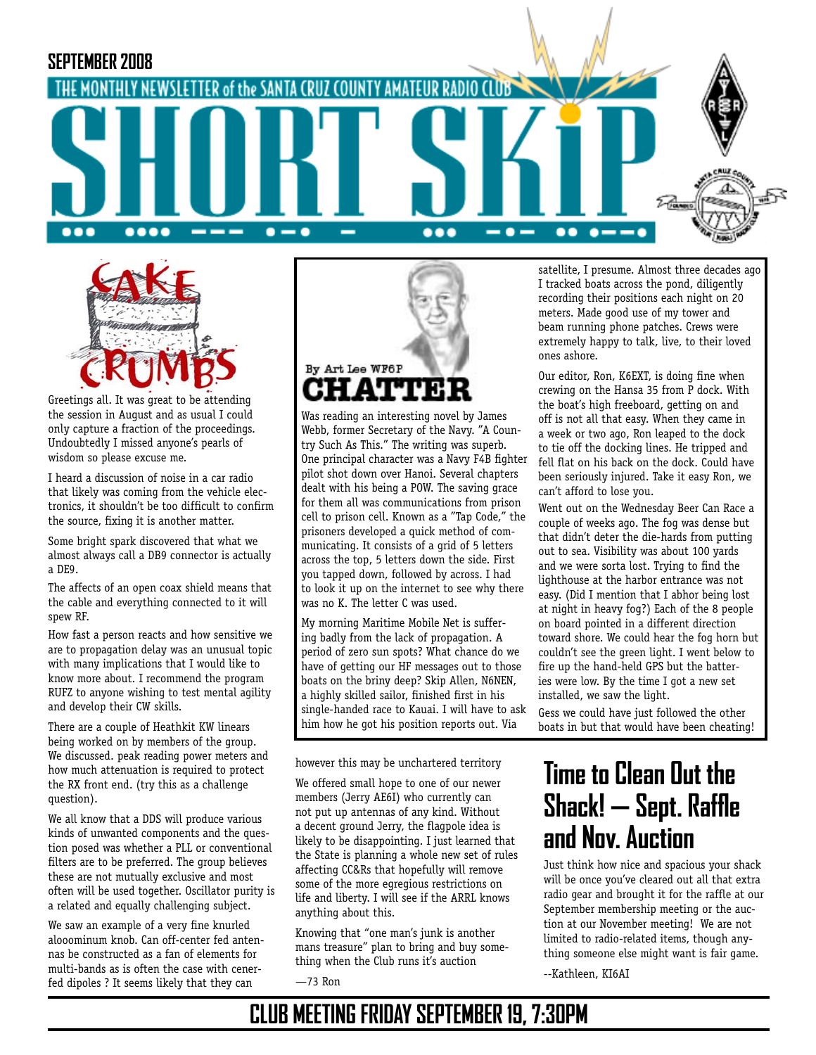



Greetings all. It was great to be attending the session in August and as usual I could only capture a fraction of the proceedings. Undoubtedly I missed anyone's pearls of wisdom so please excuse me.

I heard a discussion of noise in a car radio that likely was coming from the vehicle electronics, it shouldn't be too difficult to confirm the source, fixing it is another matter.

Some bright spark discovered that what we almost always call a DB9 connector is actually a DE9.

The affects of an open coax shield means that the cable and everything connected to it will spew RF.

How fast a person reacts and how sensitive we are to propagation delay was an unusual topic with many implications that I would like to know more about. I recommend the program RUFZ to anyone wishing to test mental agility and develop their CW skills.

There are a couple of Heathkit KW linears being worked on by members of the group. We discussed. peak reading power meters and how much attenuation is required to protect the RX front end. (try this as a challenge question).

We all know that a DDS will produce various kinds of unwanted components and the question posed was whether a PLL or conventional filters are to be preferred. The group believes these are not mutually exclusive and most often will be used together. Oscillator purity is a related and equally challenging subject.

We saw an example of a very fine knurled alooominum knob. Can off-center fed antennas be constructed as a fan of elements for multi-bands as is often the case with cenerfed dipoles ? It seems likely that they can



Was reading an interesting novel by James Webb, former Secretary of the Navy. "A Country Such As This." The writing was superb. One principal character was a Navy F4B fighter pilot shot down over Hanoi. Several chapters dealt with his being a POW. The saving grace for them all was communications from prison cell to prison cell. Known as a "Tap Code," the prisoners developed a quick method of communicating. It consists of a grid of 5 letters across the top, 5 letters down the side. First you tapped down, followed by across. I had to look it up on the internet to see why there was no K. The letter C was used.

My morning Maritime Mobile Net is suffering badly from the lack of propagation. A period of zero sun spots? What chance do we have of getting our HF messages out to those boats on the briny deep? Skip Allen, N6NEN, a highly skilled sailor, finished first in his single-handed race to Kauai. I will have to ask him how he got his position reports out. Via

however this may be unchartered territory

We offered small hope to one of our newer members (Jerry AE6I) who currently can not put up antennas of any kind. Without a decent ground Jerry, the flagpole idea is likely to be disappointing. I just learned that the State is planning a whole new set of rules affecting CC&Rs that hopefully will remove some of the more egregious restrictions on life and liberty. I will see if the ARRL knows anything about this.

Knowing that "one man's junk is another mans treasure" plan to bring and buy something when the Club runs it's auction

—73 Ron

satellite, I presume. Almost three decades ago I tracked boats across the pond, diligently recording their positions each night on 20 meters. Made good use of my tower and beam running phone patches. Crews were extremely happy to talk, live, to their loved ones ashore.

Our editor, Ron, K6EXT, is doing fine when crewing on the Hansa 35 from P dock. With the boat's high freeboard, getting on and off is not all that easy. When they came in a week or two ago, Ron leaped to the dock to tie off the docking lines. He tripped and fell flat on his back on the dock. Could have been seriously injured. Take it easy Ron, we can't afford to lose you.

Went out on the Wednesday Beer Can Race a couple of weeks ago. The fog was dense but that didn't deter the die-hards from putting out to sea. Visibility was about 100 yards and we were sorta lost. Trying to find the lighthouse at the harbor entrance was not easy. (Did I mention that I abhor being lost at night in heavy fog?) Each of the 8 people on board pointed in a different direction toward shore. We could hear the fog horn but couldn't see the green light. I went below to fire up the hand-held GPS but the batteries were low. By the time I got a new set installed, we saw the light.

Gess we could have just followed the other boats in but that would have been cheating!

# **Time to Clean Out the Shack! — Sept. Raffle and Nov. Auction**

Just think how nice and spacious your shack will be once you've cleared out all that extra radio gear and brought it for the raffle at our September membership meeting or the auction at our November meeting! We are not limited to radio-related items, though anything someone else might want is fair game.

--Kathleen, KI6AI